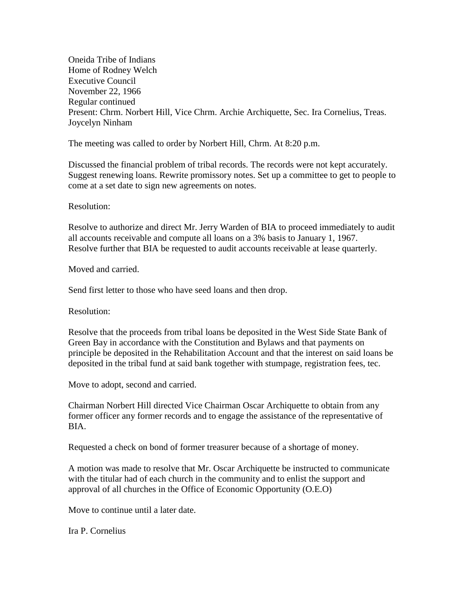Oneida Tribe of Indians Home of Rodney Welch Executive Council November 22, 1966 Regular continued Present: Chrm. Norbert Hill, Vice Chrm. Archie Archiquette, Sec. Ira Cornelius, Treas. Joycelyn Ninham

The meeting was called to order by Norbert Hill, Chrm. At 8:20 p.m.

Discussed the financial problem of tribal records. The records were not kept accurately. Suggest renewing loans. Rewrite promissory notes. Set up a committee to get to people to come at a set date to sign new agreements on notes.

## Resolution:

Resolve to authorize and direct Mr. Jerry Warden of BIA to proceed immediately to audit all accounts receivable and compute all loans on a 3% basis to January 1, 1967. Resolve further that BIA be requested to audit accounts receivable at lease quarterly.

Moved and carried.

Send first letter to those who have seed loans and then drop.

Resolution:

Resolve that the proceeds from tribal loans be deposited in the West Side State Bank of Green Bay in accordance with the Constitution and Bylaws and that payments on principle be deposited in the Rehabilitation Account and that the interest on said loans be deposited in the tribal fund at said bank together with stumpage, registration fees, tec.

Move to adopt, second and carried.

Chairman Norbert Hill directed Vice Chairman Oscar Archiquette to obtain from any former officer any former records and to engage the assistance of the representative of BIA.

Requested a check on bond of former treasurer because of a shortage of money.

A motion was made to resolve that Mr. Oscar Archiquette be instructed to communicate with the titular had of each church in the community and to enlist the support and approval of all churches in the Office of Economic Opportunity (O.E.O)

Move to continue until a later date.

Ira P. Cornelius